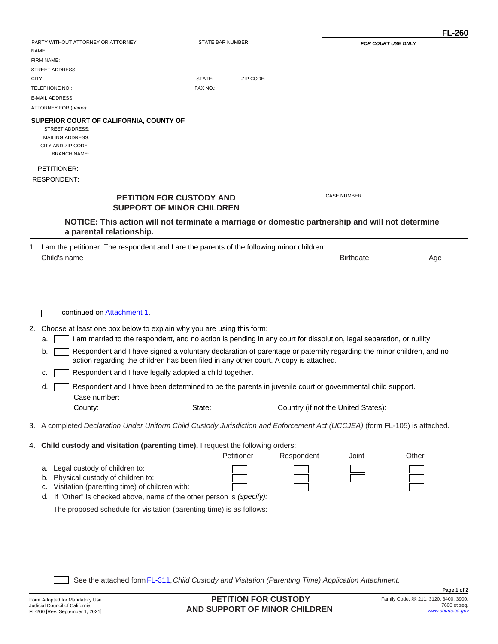|                                                                                                                                                                                                                                                                                                                                                                                                                                                                                                                                                                                                                                   |                                                                                                                             |                                     | <b>FL-260</b>                                        |
|-----------------------------------------------------------------------------------------------------------------------------------------------------------------------------------------------------------------------------------------------------------------------------------------------------------------------------------------------------------------------------------------------------------------------------------------------------------------------------------------------------------------------------------------------------------------------------------------------------------------------------------|-----------------------------------------------------------------------------------------------------------------------------|-------------------------------------|------------------------------------------------------|
| PARTY WITHOUT ATTORNEY OR ATTORNEY                                                                                                                                                                                                                                                                                                                                                                                                                                                                                                                                                                                                | <b>STATE BAR NUMBER:</b>                                                                                                    |                                     | <b>FOR COURT USE ONLY</b>                            |
| NAME:                                                                                                                                                                                                                                                                                                                                                                                                                                                                                                                                                                                                                             |                                                                                                                             |                                     |                                                      |
| FIRM NAME:<br><b>STREET ADDRESS:</b>                                                                                                                                                                                                                                                                                                                                                                                                                                                                                                                                                                                              |                                                                                                                             |                                     |                                                      |
| CITY:                                                                                                                                                                                                                                                                                                                                                                                                                                                                                                                                                                                                                             | STATE:<br>ZIP CODE:                                                                                                         |                                     |                                                      |
| TELEPHONE NO.:                                                                                                                                                                                                                                                                                                                                                                                                                                                                                                                                                                                                                    | FAX NO.:                                                                                                                    |                                     |                                                      |
| E-MAIL ADDRESS:                                                                                                                                                                                                                                                                                                                                                                                                                                                                                                                                                                                                                   |                                                                                                                             |                                     |                                                      |
| ATTORNEY FOR (name):                                                                                                                                                                                                                                                                                                                                                                                                                                                                                                                                                                                                              |                                                                                                                             |                                     |                                                      |
| SUPERIOR COURT OF CALIFORNIA, COUNTY OF<br><b>STREET ADDRESS:</b><br><b>MAILING ADDRESS:</b><br>CITY AND ZIP CODE:<br><b>BRANCH NAME:</b>                                                                                                                                                                                                                                                                                                                                                                                                                                                                                         |                                                                                                                             |                                     |                                                      |
| PETITIONER:<br><b>RESPONDENT:</b>                                                                                                                                                                                                                                                                                                                                                                                                                                                                                                                                                                                                 |                                                                                                                             |                                     |                                                      |
|                                                                                                                                                                                                                                                                                                                                                                                                                                                                                                                                                                                                                                   |                                                                                                                             |                                     |                                                      |
|                                                                                                                                                                                                                                                                                                                                                                                                                                                                                                                                                                                                                                   | <b>PETITION FOR CUSTODY AND</b><br><b>SUPPORT OF MINOR CHILDREN</b>                                                         | <b>CASE NUMBER:</b>                 |                                                      |
| NOTICE: This action will not terminate a marriage or domestic partnership and will not determine<br>a parental relationship.                                                                                                                                                                                                                                                                                                                                                                                                                                                                                                      |                                                                                                                             |                                     |                                                      |
| 1. I am the petitioner. The respondent and I are the parents of the following minor children:<br>Child's name                                                                                                                                                                                                                                                                                                                                                                                                                                                                                                                     |                                                                                                                             |                                     | <b>Birthdate</b><br><u>Age</u>                       |
| Choose at least one box below to explain why you are using this form:<br>2.<br>I am married to the respondent, and no action is pending in any court for dissolution, legal separation, or nullity.<br>a.<br>Respondent and I have signed a voluntary declaration of parentage or paternity regarding the minor children, and no<br>b.<br>action regarding the children has been filed in any other court. A copy is attached.<br>Respondent and I have legally adopted a child together.<br>c.<br>Respondent and I have been determined to be the parents in juvenile court or governmental child support.<br>d.<br>Case number: |                                                                                                                             |                                     |                                                      |
| County:                                                                                                                                                                                                                                                                                                                                                                                                                                                                                                                                                                                                                           | State:                                                                                                                      | Country (if not the United States): |                                                      |
| 3. A completed Declaration Under Uniform Child Custody Jurisdiction and Enforcement Act (UCCJEA) (form FL-105) is attached.                                                                                                                                                                                                                                                                                                                                                                                                                                                                                                       |                                                                                                                             |                                     |                                                      |
| 4. Child custody and visitation (parenting time). I request the following orders:                                                                                                                                                                                                                                                                                                                                                                                                                                                                                                                                                 | Petitioner                                                                                                                  | Respondent                          | Other<br>Joint                                       |
| Legal custody of children to:<br>а.<br>Physical custody of children to:<br>b.<br>Visitation (parenting time) of children with:<br>c.<br>If "Other" is checked above, name of the other person is (specify):<br>d.<br>The proposed schedule for visitation (parenting time) is as follows:                                                                                                                                                                                                                                                                                                                                         |                                                                                                                             |                                     |                                                      |
|                                                                                                                                                                                                                                                                                                                                                                                                                                                                                                                                                                                                                                   | See the attached form FL-311, Child Custody and Visitation (Parenting Time) Application Attachment.<br>PETITION FOR CUSTODY |                                     | Page 1 of 2<br>Family Code, §§ 211, 3120, 3400, 3900 |
| Form Adopted for Mandatory Use<br>Judicial Council of California<br>FL-260 IRev. September 1, 20211                                                                                                                                                                                                                                                                                                                                                                                                                                                                                                                               | AND SUPPORT OF MINOR CHILDREN                                                                                               |                                     | 7600 et seq<br>www.courts.ca.gov                     |